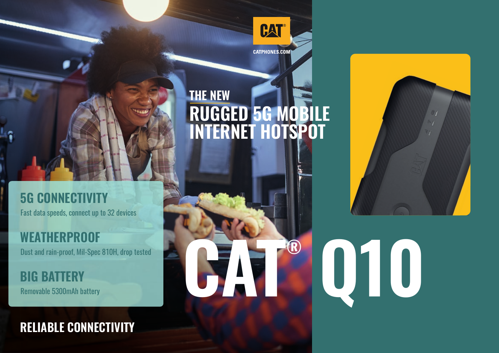

# **RUGGED 5G MOBILE INTERNET HOTSPOT THE NEW**

**CATEGORY** 

# **5G CONNECTIVITY**

Fast data speeds, connect up to 32 devices

Dust and rain-proof, Mil-Spec 810H, drop tested **WEATHERPROOF**

Removable 5300mAh battery **BIG BATTERY**

## **RELIABLE CONNECTIVITY**